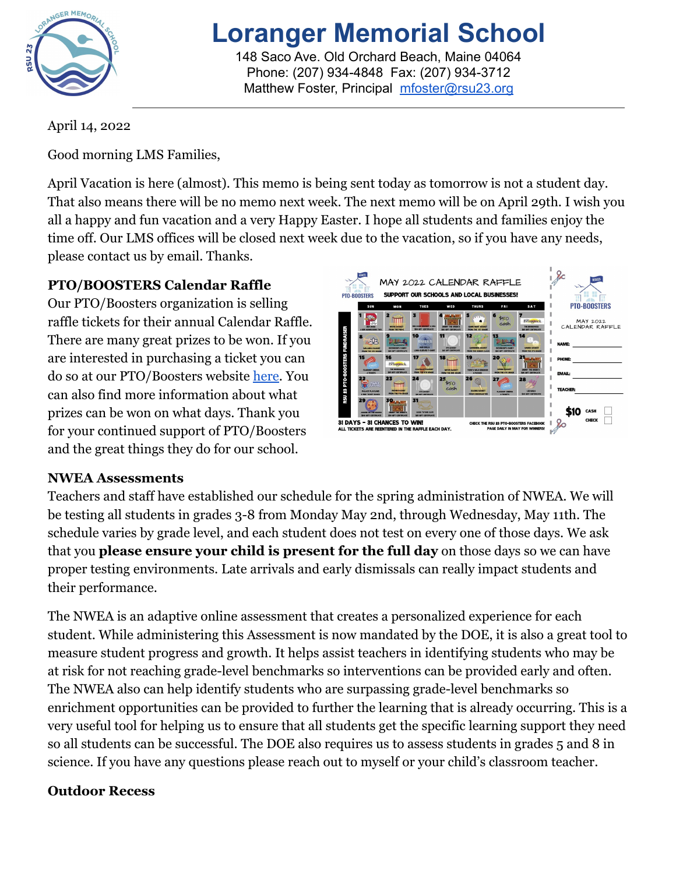

# **Loranger Memorial School**

148 Saco Ave. Old Orchard Beach, Maine 04064 Phone: (207) 934-4848 Fax: (207) 934-3712 Matthew Foster, Principal [mfoster@rsu23.org](mailto:mfoster@rsu23.org)

April 14, 2022

Good morning LMS Families,

April Vacation is here (almost). This memo is being sent today as tomorrow is not a student day. That also means there will be no memo next week. The next memo will be on April 29th. I wish you all a happy and fun vacation and a very Happy Easter. I hope all students and families enjoy the time off. Our LMS offices will be closed next week due to the vacation, so if you have any needs, please contact us by email. Thanks.

# **PTO/BOOSTERS Calendar Raffle**

Our PTO/Boosters organization is selling raffle tickets for their annual Calendar Raffle. There are many great prizes to be won. If you are interested in purchasing a ticket you can do so at our PTO/Boosters website [here.](https://ptorsu23.square.site/) You can also find more information about what prizes can be won on what days. Thank you for your continued support of PTO/Boosters and the great things they do for our school.



## **NWEA Assessments**

Teachers and staff have established our schedule for the spring administration of NWEA. We will be testing all students in grades 3-8 from Monday May 2nd, through Wednesday, May 11th. The schedule varies by grade level, and each student does not test on every one of those days. We ask that you **please ensure your child is present for the full day** on those days so we can have proper testing environments. Late arrivals and early dismissals can really impact students and their performance.

The NWEA is an adaptive online assessment that creates a personalized experience for each student. While administering this Assessment is now mandated by the DOE, it is also a great tool to measure student progress and growth. It helps assist teachers in identifying students who may be at risk for not reaching grade-level benchmarks so interventions can be provided early and often. The NWEA also can help identify students who are surpassing grade-level benchmarks so enrichment opportunities can be provided to further the learning that is already occurring. This is a very useful tool for helping us to ensure that all students get the specific learning support they need so all students can be successful. The DOE also requires us to assess students in grades 5 and 8 in science. If you have any questions please reach out to myself or your child's classroom teacher.

## **Outdoor Recess**